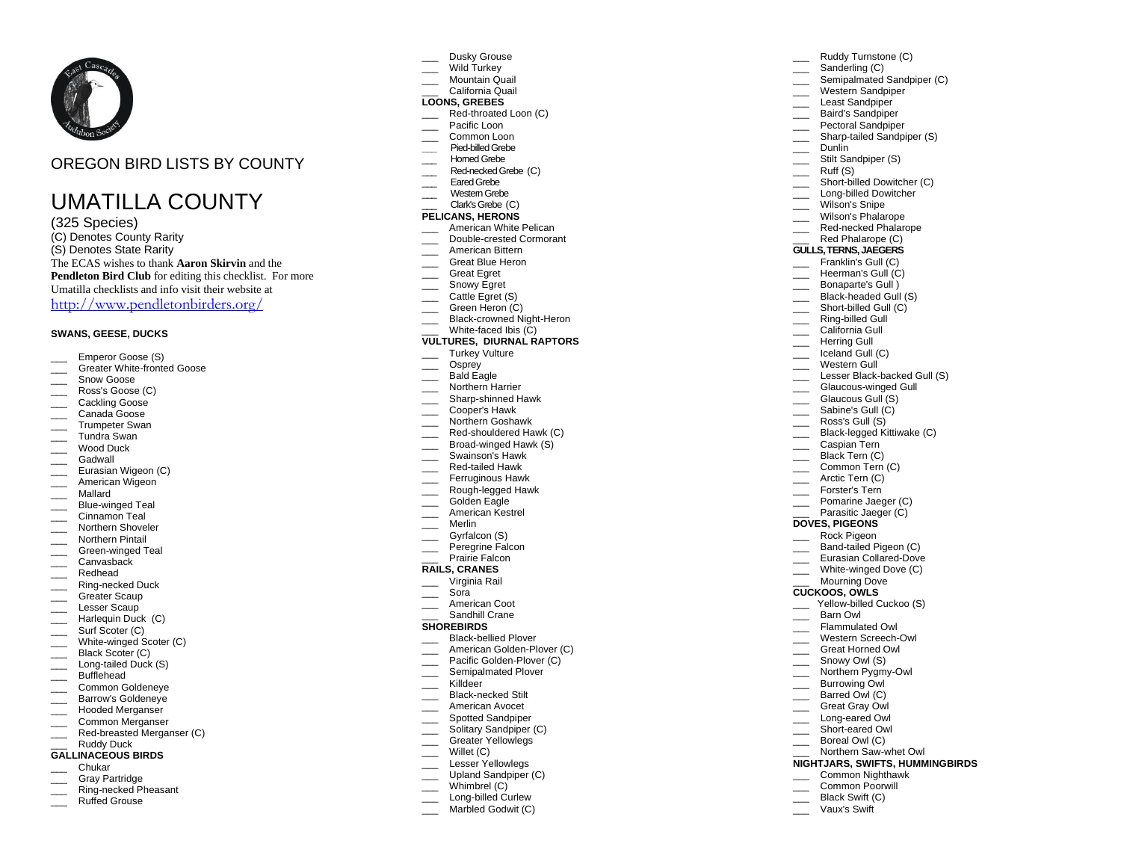

# OREGON BIRD LISTS BY COUNTY

# UMATILLA COUNTY

(325 Species) (C) Denotes County Rarity (S) Denotes State Rarity The E CAS wishes to thank **Aaron Skirvin** and the **Pendleton Bird Club** for editing this checklist. For more Umatilla checklists and info visit their website at <http://www.pendletonbirders.org/>

# **SWANS, GEESE, DUCK S**

- Emperor Goose (S)<br>Greater White-fronted Goose
- 
- Snow Goose
- Ross's Goose (C)
- \_\_\_\_ Cackling Goose
- \_\_\_ Canada Goose \_\_\_ Trumpeter Swan
- 
- \_\_\_ Tundra Swan \_\_\_ Wood Duck
- \_\_\_ Gadwall
- 
- \_\_ Eurasian Wigeon (C) \_\_\_ American Wigeon
- \_\_\_ Mallard
- 
- \_\_\_ Blue -winged Teal Cinnamon Teal
- Northern Shoveler
- Northern Pintail
- \_\_\_ Green -winged Teal
- Canvasback
- \_\_\_ Redhead
- \_\_\_ Ring -necked Duck
- \_\_\_ Greater Scaup
- Lesser Scaup
- \_\_\_ Harlequin Duck (C)
- \_\_\_\_ Surf Scoter (C)
- \_\_\_ White -winged Scoter (C)
- Black Scoter (C)
- \_\_\_ Long -tailed Duck (S)
- \_\_\_ Bufflehead
- \_\_\_ Common Goldeneye
- Barrow's Goldeneye
- \_\_\_ Hooded Merganser
- \_\_\_ Common Merganser
- \_\_\_ Red -breasted Merganser (C) Ruddy Duck

# **GALLINACEOUS BIRDS**

- \_\_\_ Chukar
- Gray Partridge
- \_\_\_ Ring -necked Pheasant
- Ruffed Grouse
- Dusky Grouse
- Wild Turkey Mountain Quail
- \_\_\_ California Quail

# **LOONS, GREBES**

\_\_\_ Red -throated Loon (C)

Ruddy Turnstone (C) Sanderling (C)

\_\_\_ Short -billed Dowitcher (C) \_\_\_ Long -billed Dowitcher Wilson's Snipe Wilson's Phalarope \_\_\_ Red -necked Phalarope Red Phalarope (C) **GULLS, TERNS, JAEGERS** Franklin's Gull (C) Heerman's Gull (C) Bonaparte's Gull ) \_\_\_ Black -headed Gull (S) \_\_\_ Short -billed Gull (C) \_\_\_ Ring -billed Gull California Gull Herring Gull  $\overline{\phantom{a}}$  Iceland Gull (C) Western Gull \_\_\_ Lesser Black-backed Gull (S) \_\_\_ Glaucous -winged Gull \_\_\_ Glaucous Gull (S) \_\_\_ Sabine's Gull (C) Ross's Gull (S) \_\_\_ Black -legged Kittiwake (C) \_\_\_ Caspian Tern Black Tern (C) Common Tern (C) Arctic Tern (C) Forster's Tern Pomarine Jaeger (C) \_\_\_ Parasitic Jaeger (C ) **DOVES, PIGEONS** \_\_\_ Ro ck Pigeon \_\_\_ Band -tailed Pigeon (C) \_\_\_ Eurasian Collared -Dove \_\_\_ White -winged Dove (C) Mourning Dove **CUCKOOS, OWLS** 

Yellow-billed Cuckoo (S)

Barn Owl Flammulated Owl \_\_\_ Western Screech -Owl \_\_\_ Great Horned Owl Snowy Owl (S) \_\_\_ Northern Pygmy -Owl Burrowing Owl Barred Owl (C) Great Gray Owl \_\_\_ Long -eare d Owl \_\_\_ Short -eared Owl \_\_\_ Boreal Owl (C) \_\_\_ Northern Saw -whet Owl **NIGHTJARS, SWIFTS, HUMMINGBIRDS** Common Nighthawk Common Poorwill Black Swift (C) \_\_\_ Vaux's Swif t

\_\_\_ Western Sandpiper Least Sandpiper Baird's Sandpiper Pectoral Sandpiper \_\_\_ Sharp -tailed Sandpiper (S)

\_\_\_ Dunlin Stilt Sandpiper (S)  $\frac{1}{\sqrt{2}}$  Ruff (S)

Semipalmated Sandpiper (C)

- Pacific Loon
- Common Loon
- **\_\_\_** Pied -billed Grebe
- Homed Grebe
- \_\_\_ Red -necked Grebe (C)
- \_\_\_ Eared Grebe
- \_\_\_ Western Grebe
- \_\_\_ Clark's Grebe(C)

# **PELICANS, HERONS**

- American White Pelican \_\_\_ Double -crested Cormorant
- American Bittern
- Great Blue Heron
- Great Egret
- Snowy Egret
- Cattle Egret (S)
- Creen Heron (C)
- \_\_\_ Black -crowned Night -Heron
- \_\_\_ White -faced Ibis (C)

# **VULTURES, DIURNAL RAPTORS**

- \_\_\_ Turkey Vulture
- Osprey
- \_\_\_ Bald Eagle
- Northern Harrier
- \_\_\_ Sharp -shinned Hawk
- \_\_\_ Cooper's Hawk
- \_\_\_ Northern Goshawk
- \_\_\_ Red -shouldered Hawk (C)
- \_\_\_ Broad-winged Hawk (S)
- Swainson's Hawk
- \_\_\_ Red -tailed Hawk
- Ferruginous Hawk
- \_\_\_ Rough -legged Hawk Golden Eagle
- \_\_\_ American Kestrel
- \_\_\_ Merlin
- 
- Gyrfalcon (S) \_\_\_ Peregrine Falcon
- Prairie Falcon

# **RAILS, CRANES**

- \_\_\_ Virginia Rail
- \_\_\_ Sora
- \_\_\_ American Coot
- Sandhill Crane

### **SHOREBIRDS**

- \_\_\_ Black -bellied Plover
- \_\_\_ American Golden -Plover (C)
- \_\_\_ Pacific Golden -Plover (C)
- Semipalmated Plover
- \_\_\_ Killdeer
- \_\_\_ Black -necked Stilt
- \_\_\_ American Avocet
- Spotted Sandpiper

Willet (C) Lesser Yellowlegs Upland Sandpiper (C) Whimbrel (C) \_\_\_ Long -billed Curlew Marbled Godwit (C)

\_\_\_\_ Solitary Sandpiper (C) \_\_\_ Greater Yellowlegs